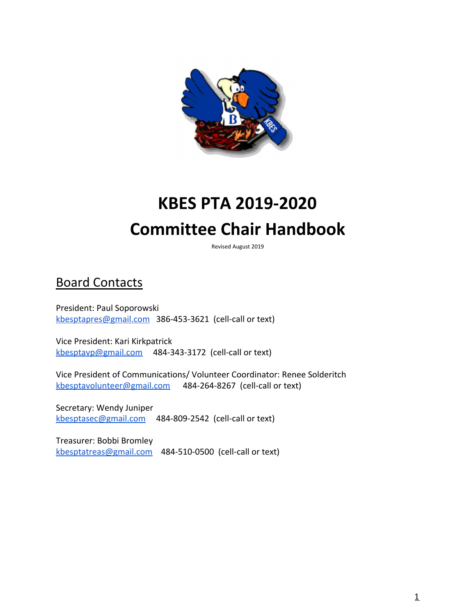

# **KBES PTA 2019-2020 Committee Chair Handbook**

Revised August 2019

## Board Contacts

President: Paul Soporowski [kbesptapres@gmail.com](mailto:kbesptapres@gmail.com) 386-453-3621 (cell-call or text)

Vice President: Kari Kirkpatrick [kbesptavp@gmail.com](mailto:kbesptavp@gmail.com) 484-343-3172 (cell-call or text)

Vice President of Communications/ Volunteer Coordinator: Renee Solderitch [kbesptavolunteer@gmail.com](mailto:kbesptavolunteer@gmail.com) 484-264-8267 (cell-call or text)

Secretary: Wendy Juniper [kbesptasec@gmail.com](mailto:kbesptasec@gmail.com) 484-809-2542 (cell-call or text)

Treasurer: Bobbi Bromley [kbesptatreas@gmail.com](mailto:kbesptatreas@gmail.com) 484-510-0500 (cell-call or text)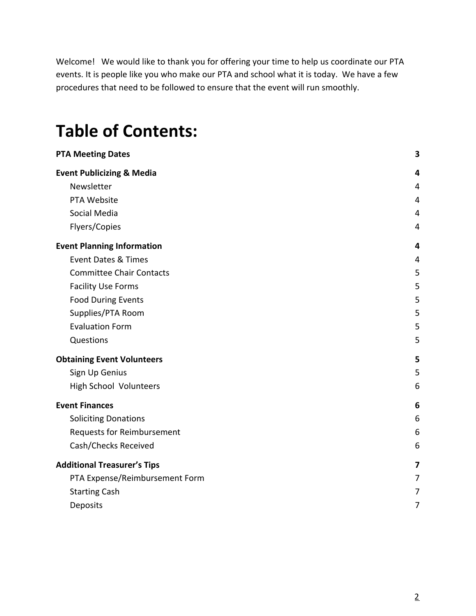Welcome! We would like to thank you for offering your time to help us coordinate our PTA events. It is people like you who make our PTA and school what it is today. We have a few procedures that need to be followed to ensure that the event will run smoothly.

## **Table of Contents:**

| <b>PTA Meeting Dates</b>             | $\overline{\mathbf{3}}$ |
|--------------------------------------|-------------------------|
| <b>Event Publicizing &amp; Media</b> | 4                       |
| Newsletter                           | $\overline{4}$          |
| PTA Website                          | 4                       |
| Social Media                         | 4                       |
| Flyers/Copies                        | 4                       |
| <b>Event Planning Information</b>    | 4                       |
| <b>Event Dates &amp; Times</b>       | 4                       |
| <b>Committee Chair Contacts</b>      | 5                       |
| <b>Facility Use Forms</b>            | 5                       |
| <b>Food During Events</b>            | 5                       |
| Supplies/PTA Room                    | 5                       |
| <b>Evaluation Form</b>               | 5                       |
| Questions                            | 5                       |
| <b>Obtaining Event Volunteers</b>    | 5                       |
| Sign Up Genius                       | 5                       |
| High School Volunteers               | 6                       |
| <b>Event Finances</b>                | 6                       |
| <b>Soliciting Donations</b>          | 6                       |
| <b>Requests for Reimbursement</b>    | 6                       |
| Cash/Checks Received                 | 6                       |
| <b>Additional Treasurer's Tips</b>   | 7                       |
| PTA Expense/Reimbursement Form       | 7                       |
| <b>Starting Cash</b>                 | 7                       |
| Deposits                             | 7                       |
|                                      |                         |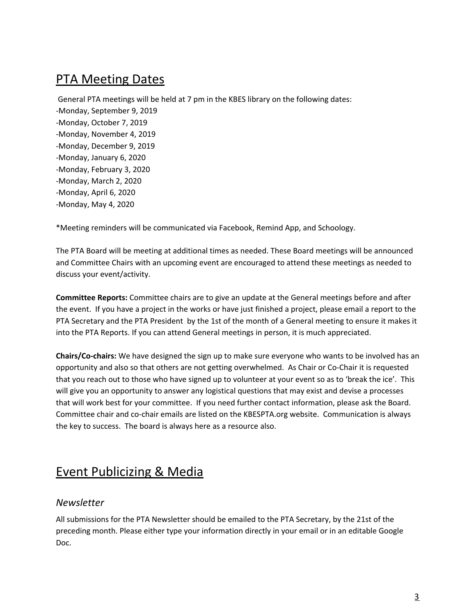### <span id="page-2-0"></span>PTA Meeting Dates

General PTA meetings will be held at 7 pm in the KBES library on the following dates: -Monday, September 9, 2019 -Monday, October 7, 2019 -Monday, November 4, 2019 -Monday, December 9, 2019 -Monday, January 6, 2020 -Monday, February 3, 2020 -Monday, March 2, 2020 -Monday, April 6, 2020 -Monday, May 4, 2020

\*Meeting reminders will be communicated via Facebook, Remind App, and Schoology.

The PTA Board will be meeting at additional times as needed. These Board meetings will be announced and Committee Chairs with an upcoming event are encouraged to attend these meetings as needed to discuss your event/activity.

**Committee Reports:** Committee chairs are to give an update at the General meetings before and after the event. If you have a project in the works or have just finished a project, please email a report to the PTA Secretary and the PTA President by the 1st of the month of a General meeting to ensure it makes it into the PTA Reports. If you can attend General meetings in person, it is much appreciated.

**Chairs/Co-chairs:** We have designed the sign up to make sure everyone who wants to be involved has an opportunity and also so that others are not getting overwhelmed. As Chair or Co-Chair it is requested that you reach out to those who have signed up to volunteer at your event so as to 'break the ice'. This will give you an opportunity to answer any logistical questions that may exist and devise a processes that will work best for your committee. If you need further contact information, please ask the Board. Committee chair and co-chair emails are listed on the KBESPTA.org website. Communication is always the key to success. The board is always here as a resource also.

### <span id="page-2-1"></span>Event Publicizing & Media

#### <span id="page-2-2"></span>*Newsletter*

All submissions for the PTA Newsletter should be emailed to the PTA Secretary, by the 21st of the preceding month. Please either type your information directly in your email or in an editable Google Doc.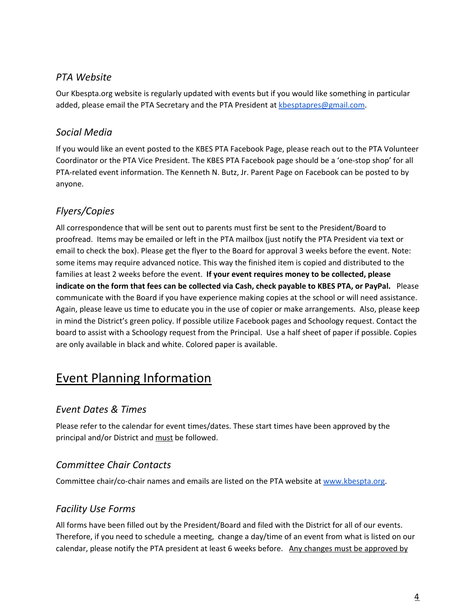#### <span id="page-3-0"></span>*PTA Website*

Our Kbespta.org website is regularly updated with events but if you would like something in particular added, please email the PTA Secretary and the PTA President at [kbesptapres@gmail.com.](mailto:Kbesptapres@gmail.com)

#### <span id="page-3-1"></span>*Social Media*

If you would like an event posted to the KBES PTA Facebook Page, please reach out to the PTA Volunteer Coordinator or the PTA Vice President. The KBES PTA Facebook page should be a 'one-stop shop' for all PTA-related event information. The Kenneth N. Butz, Jr. Parent Page on Facebook can be posted to by anyone.

#### <span id="page-3-2"></span>*Flyers/Copies*

All correspondence that will be sent out to parents must first be sent to the President/Board to proofread. Items may be emailed or left in the PTA mailbox (just notify the PTA President via text or email to check the box). Please get the flyer to the Board for approval 3 weeks before the event. Note: some items may require advanced notice. This way the finished item is copied and distributed to the families at least 2 weeks before the event. **If your event requires money to be collected, please** indicate on the form that fees can be collected via Cash, check payable to KBES PTA, or PayPal. Please communicate with the Board if you have experience making copies at the school or will need assistance. Again, please leave us time to educate you in the use of copier or make arrangements. Also, please keep in mind the District's green policy. If possible utilize Facebook pages and Schoology request. Contact the board to assist with a Schoology request from the Principal. Use a half sheet of paper if possible. Copies are only available in black and white. Colored paper is available.

## <span id="page-3-3"></span>Event Planning Information

#### <span id="page-3-4"></span>*Event Dates & Times*

Please refer to the calendar for event times/dates. These start times have been approved by the principal and/or District and must be followed.

#### <span id="page-3-5"></span>*Committee Chair Contacts*

<span id="page-3-6"></span>Committee chair/co-chair names and emails are listed on the PTA website at [www.kbespta.org](http://www.kbespta.org/).

#### *Facility Use Forms*

All forms have been filled out by the President/Board and filed with the District for all of our events. Therefore, if you need to schedule a meeting, change a day/time of an event from what is listed on our calendar, please notify the PTA president at least 6 weeks before. Any changes must be approved by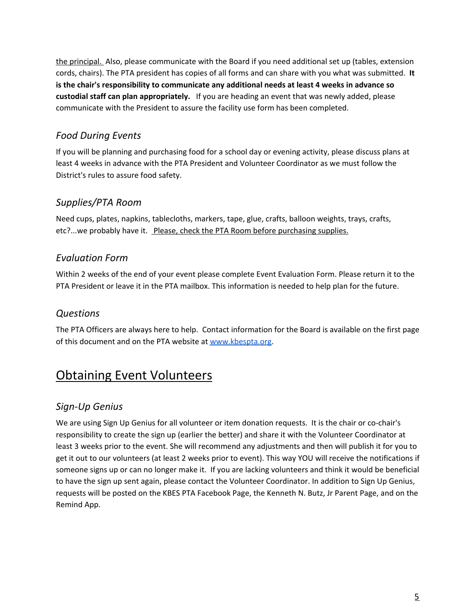the principal. Also, please communicate with the Board if you need additional set up (tables, extension cords, chairs). The PTA president has copies of all forms and can share with you what was submitted. **It is the chair's responsibility to communicate any additional needs at least 4 weeks in advance so custodial staff can plan appropriately.** If you are heading an event that was newly added, please communicate with the President to assure the facility use form has been completed.

#### <span id="page-4-0"></span>*Food During Events*

If you will be planning and purchasing food for a school day or evening activity, please discuss plans at least 4 weeks in advance with the PTA President and Volunteer Coordinator as we must follow the District's rules to assure food safety.

#### <span id="page-4-1"></span>*Supplies/PTA Room*

Need cups, plates, napkins, tablecloths, markers, tape, glue, crafts, balloon weights, trays, crafts, etc?...we probably have it. Please, check the PTA Room before purchasing supplies.

#### <span id="page-4-2"></span>*Evaluation Form*

Within 2 weeks of the end of your event please complete Event Evaluation Form. Please return it to the PTA President or leave it in the PTA mailbox. This information is needed to help plan for the future.

#### <span id="page-4-3"></span>*Questions*

The PTA Officers are always here to help. Contact information for the Board is available on the first page of this document and on the PTA website at [www.kbespta.org.](http://www.kbespta.org/)

## <span id="page-4-4"></span>Obtaining Event Volunteers

#### <span id="page-4-5"></span>*Sign-Up Genius*

We are using Sign Up Genius for all volunteer or item donation requests. It is the chair or co-chair's responsibility to create the sign up (earlier the better) and share it with the Volunteer Coordinator at least 3 weeks prior to the event. She will recommend any adjustments and then will publish it for you to get it out to our volunteers (at least 2 weeks prior to event). This way YOU will receive the notifications if someone signs up or can no longer make it. If you are lacking volunteers and think it would be beneficial to have the sign up sent again, please contact the Volunteer Coordinator. In addition to Sign Up Genius, requests will be posted on the KBES PTA Facebook Page, the Kenneth N. Butz, Jr Parent Page, and on the Remind App.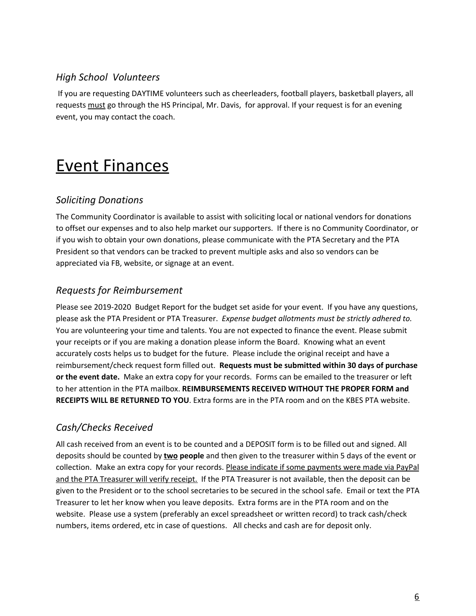#### <span id="page-5-0"></span>*High School Volunteers*

If you are requesting DAYTIME volunteers such as cheerleaders, football players, basketball players, all requests must go through the HS Principal, Mr. Davis, for approval. If your request is for an evening event, you may contact the coach.

## <span id="page-5-1"></span>Event Finances

#### <span id="page-5-2"></span>*Soliciting Donations*

The Community Coordinator is available to assist with soliciting local or national vendors for donations to offset our expenses and to also help market our supporters. If there is no Community Coordinator, or if you wish to obtain your own donations, please communicate with the PTA Secretary and the PTA President so that vendors can be tracked to prevent multiple asks and also so vendors can be appreciated via FB, website, or signage at an event.

#### <span id="page-5-3"></span>*Requests for Reimbursement*

Please see 2019-2020 Budget Report for the budget set aside for your event. If you have any questions, please ask the PTA President or PTA Treasurer. *Expense budget allotments must be strictly adhered to.* You are volunteering your time and talents. You are not expected to finance the event. Please submit your receipts or if you are making a donation please inform the Board. Knowing what an event accurately costs helps us to budget for the future. Please include the original receipt and have a reimbursement/check request form filled out. **Requests must be submitted within 30 days of purchase or the event date.** Make an extra copy for your records. Forms can be emailed to the treasurer or left to her attention in the PTA mailbox. **REIMBURSEMENTS RECEIVED WITHOUT THE PROPER FORM and RECEIPTS WILL BE RETURNED TO YOU**. Extra forms are in the PTA room and on the KBES PTA website.

#### <span id="page-5-4"></span>*Cash/Checks Received*

All cash received from an event is to be counted and a DEPOSIT form is to be filled out and signed. All deposits should be counted by **two people** and then given to the treasurer within 5 days of the event or collection. Make an extra copy for your records. Please indicate if some payments were made via PayPal and the PTA Treasurer will verify receipt. If the PTA Treasurer is not available, then the deposit can be given to the President or to the school secretaries to be secured in the school safe. Email or text the PTA Treasurer to let her know when you leave deposits. Extra forms are in the PTA room and on the website. Please use a system (preferably an excel spreadsheet or written record) to track cash/check numbers, items ordered, etc in case of questions. All checks and cash are for deposit only.